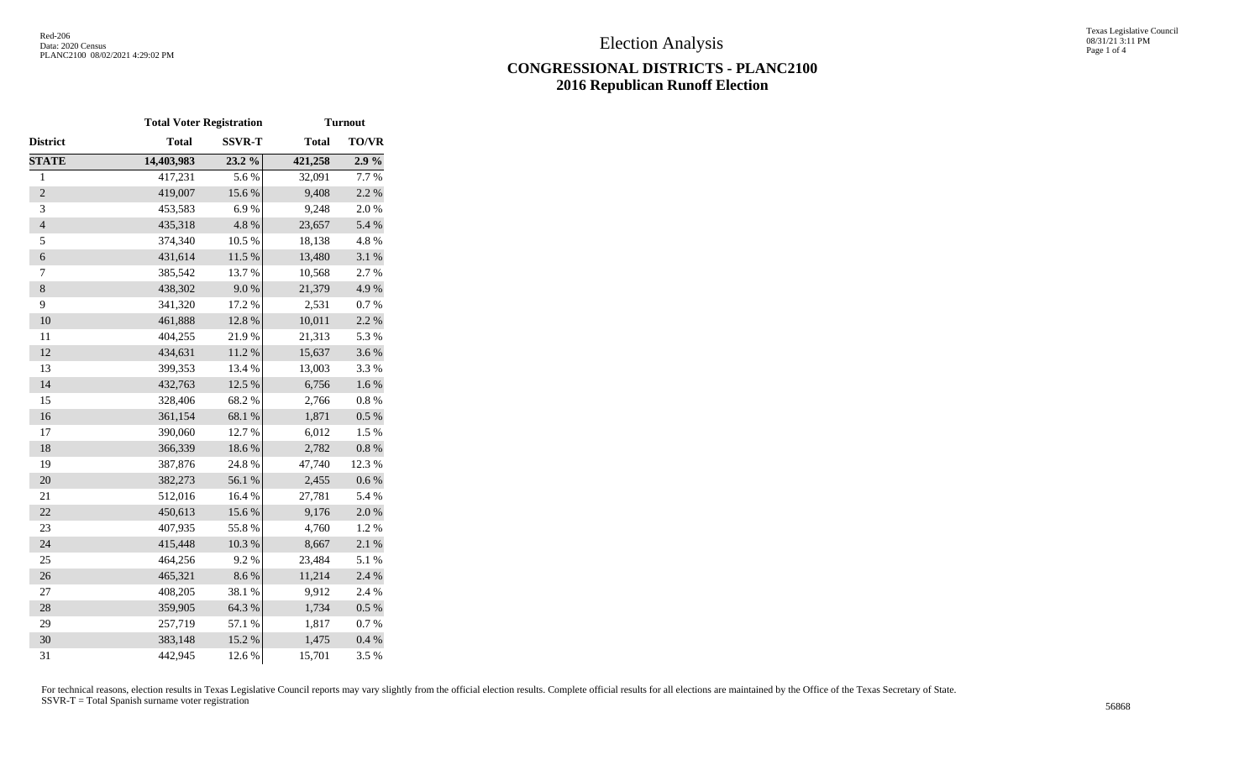I

## **CONGRESSIONAL DISTRICTS - PLANC2100 2016 Republican Runoff Election**

|                          | <b>Total Voter Registration</b> |               | <b>Turnout</b> |           |  |  |
|--------------------------|---------------------------------|---------------|----------------|-----------|--|--|
| District                 | <b>Total</b>                    | <b>SSVR-T</b> | <b>Total</b>   | TO/VR     |  |  |
| <b>STATE</b>             | 14,403,983                      | 23.2 %        | 421,258        | 2.9%      |  |  |
| $\mathbf{1}$             | 417,231                         | 5.6%          | 32,091         | 7.7%      |  |  |
| $\overline{c}$           | 419,007                         | 15.6%         | 9,408          | 2.2 %     |  |  |
| 3                        | 453,583                         | 6.9%          | 9,248          | $2.0\ \%$ |  |  |
| $\overline{\mathcal{L}}$ | 435,318                         | 4.8%          | 23,657         | 5.4 %     |  |  |
| 5                        | 374,340                         | 10.5 %        | 18,138         | 4.8 %     |  |  |
| $\epsilon$               | 431,614                         | $11.5~\%$     | 13,480         | 3.1 %     |  |  |
| $\tau$                   | 385,542                         | 13.7%         | 10,568         | 2.7%      |  |  |
| $\,8\,$                  | 438,302                         | 9.0%          | 21,379         | 4.9%      |  |  |
| 9                        | 341,320                         | 17.2 %        | 2,531          | 0.7%      |  |  |
| 10                       | 461,888                         | 12.8 %        | 10,011         | 2.2 %     |  |  |
| 11                       | 404,255                         | 21.9%         | 21,313         | 5.3 %     |  |  |
| 12                       | 434,631                         | $11.2\ \%$    | 15,637         | 3.6 %     |  |  |
| 13                       | 399,353                         | 13.4 %        | 13,003         | 3.3%      |  |  |
| 14                       | 432,763                         | 12.5 %        | 6,756          | 1.6 %     |  |  |
| 15                       | 328,406                         | 68.2%         | 2,766          | $0.8~\%$  |  |  |
| 16                       | 361,154                         | 68.1 %        | 1,871          | $0.5~\%$  |  |  |
| 17                       | 390,060                         | 12.7 %        | 6,012          | 1.5 %     |  |  |
| 18                       | 366,339                         | 18.6%         | 2,782          | $0.8~\%$  |  |  |
| 19                       | 387,876                         | 24.8 %        | 47,740         | 12.3 %    |  |  |
| 20                       | 382,273                         | 56.1 %        | 2,455          | 0.6 %     |  |  |
| 21                       | 512,016                         | 16.4 %        | 27,781         | 5.4 %     |  |  |
| 22                       | 450,613                         | 15.6%         | 9,176          | 2.0%      |  |  |
| 23                       | 407,935                         | 55.8%         | 4,760          | 1.2%      |  |  |
| 24                       | 415,448                         | $10.3~\%$     | 8,667          | $2.1~\%$  |  |  |
| 25                       | 464,256                         | 9.2%          | 23,484         | 5.1 %     |  |  |
| 26                       | 465,321                         | 8.6%          | 11,214         | 2.4 %     |  |  |
| 27                       | 408,205                         | 38.1 %        | 9,912          | 2.4 %     |  |  |
| 28                       | 359,905                         | 64.3 %        | 1,734          | 0.5 %     |  |  |
| 29                       | 257,719                         | 57.1 %        | 1,817          | 0.7%      |  |  |
| 30                       | 383,148                         | 15.2 %        | 1,475          | 0.4 %     |  |  |
| 31                       | 442,945                         | 12.6 %        | 15,701         | 3.5%      |  |  |

For technical reasons, election results in Texas Legislative Council reports may vary slightly from the official election results. Complete official results for all elections are maintained by the Office of the Texas Secre SSVR-T = Total Spanish surname voter registration <sup>56868</sup>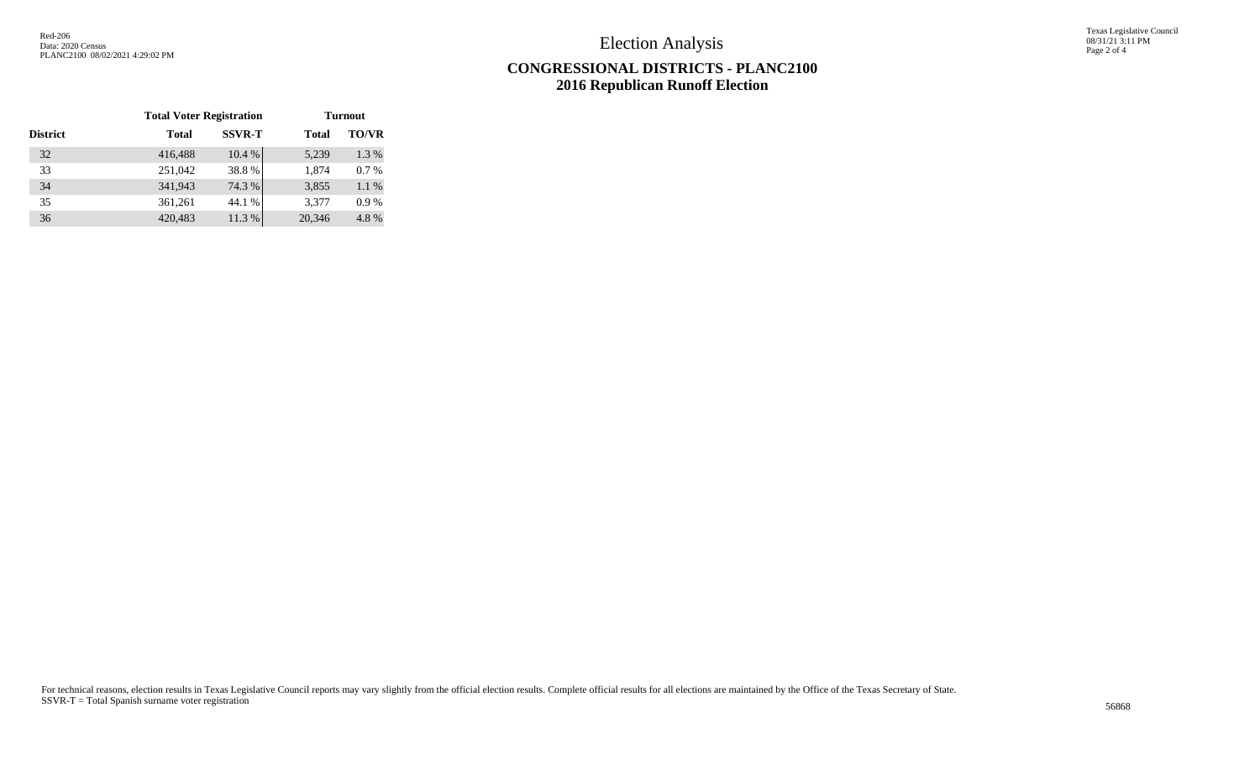Election Analysis

Texas Legislative Council 08/31/21 3:11 PM Page 2 of 4

## **CONGRESSIONAL DISTRICTS - PLANC2100 2016 Republican Runoff Election**

|                 | <b>Total Voter Registration</b> |               | <b>Turnout</b> |              |  |  |
|-----------------|---------------------------------|---------------|----------------|--------------|--|--|
| <b>District</b> | <b>Total</b>                    | <b>SSVR-T</b> | <b>Total</b>   | <b>TO/VR</b> |  |  |
| 32              | 416,488                         | 10.4%         | 5,239          | 1.3%         |  |  |
| 33              | 251,042                         | 38.8%         | 1,874          | 0.7%         |  |  |
| 34              | 341,943                         | 74.3 %        | 3,855          | 1.1%         |  |  |
| 35              | 361,261                         | 44.1 %        | 3,377          | 0.9%         |  |  |
| 36              | 420,483                         | 11.3 %        | 20,346         | 4.8%         |  |  |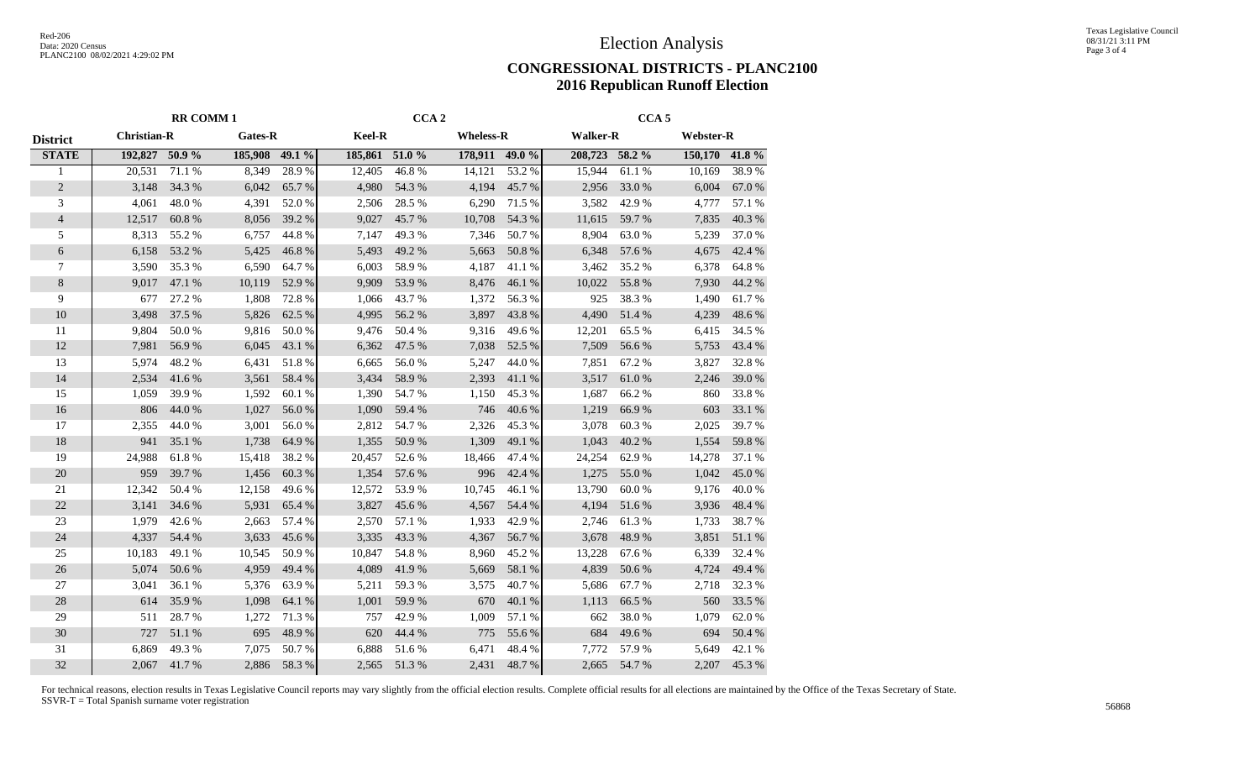Election Analysis

## **CONGRESSIONAL DISTRICTS - PLANC2100 2016 Republican Runoff Election**

|                 | <b>RR COMM1</b>    |        |         |        |               | CCA <sub>2</sub> |                |                  |                | CCA <sub>5</sub> |                |           |  |
|-----------------|--------------------|--------|---------|--------|---------------|------------------|----------------|------------------|----------------|------------------|----------------|-----------|--|
| <b>District</b> | <b>Christian-R</b> |        | Gates-R |        |               | Keel-R           |                | <b>Wheless-R</b> |                | <b>Walker-R</b>  |                | Webster-R |  |
| <b>STATE</b>    | 192,827 50.9 %     |        | 185,908 | 49.1 % | 185,861 51.0% |                  | 178,911 49.0 % |                  | 208,723 58.2 % |                  | 150,170 41.8 % |           |  |
|                 | 20,531             | 71.1 % | 8,349   | 28.9%  | 12.405        | 46.8%            | 14,121         | 53.2 %           | 15,944         | 61.1%            | 10,169         | 38.9%     |  |
| $\sqrt{2}$      | 3,148              | 34.3 % | 6,042   | 65.7%  | 4,980         | 54.3 %           | 4,194          | 45.7%            | 2,956          | 33.0%            | 6,004          | 67.0%     |  |
| 3               | 4,061              | 48.0%  | 4,391   | 52.0%  | 2,506         | 28.5 %           | 6,290          | 71.5 %           | 3,582          | 42.9%            | 4,777          | 57.1 %    |  |
| $\overline{4}$  | 12,517             | 60.8%  | 8,056   | 39.2%  | 9,027         | 45.7%            | 10,708         | 54.3%            | 11,615         | 59.7%            | 7,835          | 40.3 %    |  |
| 5               | 8,313              | 55.2%  | 6,757   | 44.8%  | 7,147         | 49.3%            | 7,346          | 50.7%            | 8,904          | 63.0%            | 5,239          | 37.0%     |  |
| 6               | 6,158              | 53.2 % | 5,425   | 46.8%  | 5,493         | 49.2%            | 5,663          | 50.8%            | 6,348          | 57.6 %           | 4,675          | 42.4 %    |  |
| $\tau$          | 3,590              | 35.3%  | 6,590   | 64.7%  | 6,003         | 58.9%            | 4,187          | 41.1%            | 3,462          | 35.2 %           | 6,378          | 64.8%     |  |
| 8               | 9,017              | 47.1 % | 10,119  | 52.9%  | 9,909         | 53.9%            | 8,476          | 46.1%            | 10,022         | 55.8%            | 7,930          | 44.2 %    |  |
| 9               | 677                | 27.2 % | 1,808   | 72.8%  | 1,066         | 43.7 %           | 1,372          | 56.3%            | 925            | 38.3%            | 1,490          | 61.7%     |  |
| 10              | 3,498              | 37.5 % | 5,826   | 62.5 % | 4,995         | 56.2%            | 3,897          | 43.8%            | 4,490          | 51.4 %           | 4,239          | 48.6%     |  |
| 11              | 9,804              | 50.0%  | 9,816   | 50.0%  | 9,476         | 50.4 %           | 9,316          | 49.6%            | 12,201         | 65.5 %           | 6,415          | 34.5 %    |  |
| 12              | 7,981              | 56.9%  | 6,045   | 43.1 % | 6,362         | 47.5 %           | 7,038          | 52.5 %           | 7,509          | 56.6%            | 5,753          | 43.4 %    |  |
| 13              | 5,974              | 48.2%  | 6,431   | 51.8%  | 6,665         | 56.0%            | 5,247          | 44.0%            | 7,851          | 67.2 %           | 3,827          | 32.8%     |  |
| 14              | 2,534              | 41.6%  | 3,561   | 58.4%  | 3,434         | 58.9%            | 2,393          | 41.1%            | 3,517          | 61.0%            | 2,246          | 39.0%     |  |
| 15              | 1,059              | 39.9%  | 1,592   | 60.1%  | 1,390         | 54.7%            | 1,150          | 45.3%            | 1,687          | 66.2%            | 860            | 33.8%     |  |
| 16              | 806                | 44.0%  | 1,027   | 56.0%  | 1,090         | 59.4 %           | 746            | 40.6%            | 1,219          | 66.9%            | 603            | 33.1 %    |  |
| 17              | 2,355              | 44.0%  | 3,001   | 56.0%  | 2,812         | 54.7%            | 2,326          | 45.3%            | 3,078          | 60.3%            | 2,025          | 39.7%     |  |
| 18              | 941                | 35.1 % | 1,738   | 64.9%  | 1,355         | 50.9%            | 1,309          | 49.1 %           | 1,043          | 40.2%            | 1,554          | 59.8%     |  |
| 19              | 24,988             | 61.8%  | 15,418  | 38.2%  | 20,457        | 52.6%            | 18,466         | 47.4 %           | 24,254         | 62.9%            | 14,278         | 37.1 %    |  |
| 20              | 959                | 39.7%  | 1,456   | 60.3%  | 1,354         | 57.6 %           | 996            | 42.4 %           | 1,275          | 55.0%            | 1,042          | 45.0%     |  |
| 21              | 12,342             | 50.4 % | 12,158  | 49.6%  | 12,572        | 53.9%            | 10,745         | 46.1%            | 13,790         | 60.0%            | 9,176          | 40.0%     |  |
| 22              | 3,141              | 34.6 % | 5,931   | 65.4%  | 3,827         | 45.6%            | 4,567          | 54.4 %           | 4,194          | 51.6%            | 3,936          | 48.4 %    |  |
| 23              | 1,979              | 42.6%  | 2,663   | 57.4 % | 2,570         | 57.1 %           | 1,933          | 42.9%            | 2,746          | 61.3%            | 1,733          | 38.7%     |  |
| 24              | 4,337              | 54.4 % | 3,633   | 45.6%  | 3,335         | 43.3%            | 4,367          | 56.7%            | 3,678          | 48.9%            | 3,851          | 51.1 %    |  |
| 25              | 10,183             | 49.1 % | 10,545  | 50.9%  | 10,847        | 54.8%            | 8,960          | 45.2%            | 13,228         | 67.6%            | 6,339          | 32.4 %    |  |
| 26              | 5,074              | 50.6%  | 4,959   | 49.4 % | 4,089         | 41.9%            | 5,669          | 58.1 %           | 4,839          | 50.6 %           | 4,724          | 49.4 %    |  |
| 27              | 3,041              | 36.1 % | 5,376   | 63.9%  | 5,211         | 59.3%            | 3,575          | 40.7%            | 5,686          | 67.7%            | 2,718          | 32.3 %    |  |
| 28              | 614                | 35.9%  | 1,098   | 64.1 % | 1,001         | 59.9%            | 670            | 40.1 %           | 1,113          | 66.5 %           | 560            | 33.5 %    |  |
| 29              | 511                | 28.7%  | 1,272   | 71.3%  | 757           | 42.9%            | 1,009          | 57.1 %           | 662            | 38.0%            | 1,079          | 62.0%     |  |
| 30              | 727                | 51.1 % | 695     | 48.9%  | 620           | 44.4 %           | 775            | 55.6%            | 684            | 49.6 %           | 694            | 50.4 %    |  |
| 31              | 6,869              | 49.3%  | 7,075   | 50.7%  | 6,888         | 51.6%            | 6,471          | 48.4%            | 7,772          | 57.9%            | 5,649          | 42.1 %    |  |
| 32              | 2,067              | 41.7%  | 2,886   | 58.3 % | 2,565         | 51.3%            | 2,431          | 48.7%            | 2,665          | 54.7%            | 2,207          | 45.3%     |  |
|                 |                    |        |         |        |               |                  |                |                  |                |                  |                |           |  |

For technical reasons, election results in Texas Legislative Council reports may vary slightly from the official election results. Complete official results for all elections are maintained by the Office of the Texas Secre SSVR-T = Total Spanish surname voter registration <sup>56868</sup>